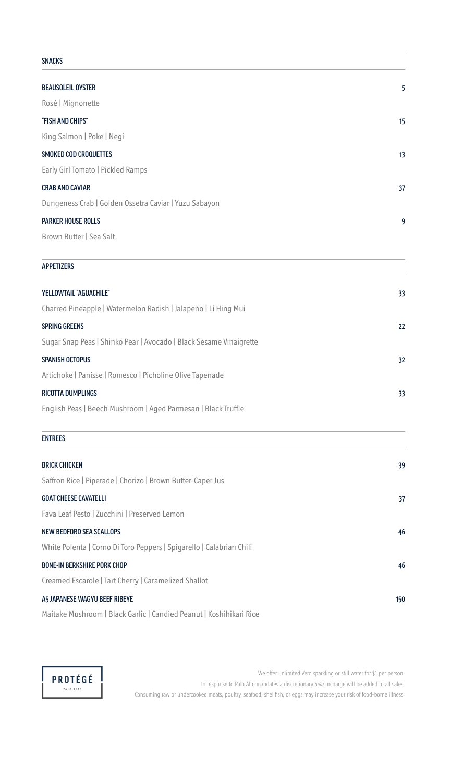## SNACKS BEAUSOLEIL OYSTER 5 Rosé | Mignonette "FISH AND CHIPS" 15 King Salmon | Poke | Negi SMOKED COD CROQUETTES **13** Early Girl Tomato | Pickled Ramps CRAB AND CAVIAR 37 Dungeness Crab | Golden Ossetra Caviar | Yuzu Sabayon PARKER HOUSE ROLLS 9 Brown Butter | Sea Salt APPETIZERS YELLOWTAIL "AGUACHILE" 33 Charred Pineapple | Watermelon Radish | Jalapeño | Li Hing Mui SPRING GREENS 22 Sugar Snap Peas | Shinko Pear | Avocado | Black Sesame Vinaigrette SPANISH OCTOPUS 32 Artichoke | Panisse | Romesco | Picholine Olive Tapenade RICOTTA DUMPLINGS 33 English Peas | Beech Mushroom | Aged Parmesan | Black Truffle ENTREES BRICK CHICKEN 39 Saffron Rice | Piperade | Chorizo | Brown Butter-Caper Jus GOAT CHEESE CAVATELLI 37 Fava Leaf Pesto | Zucchini | Preserved Lemon NEW BEDFORD SEA SCALLOPS 46 White Polenta | Corno Di Toro Peppers | Spigarello | Calabrian Chili BONE-IN BERKSHIRE PORK CHOP 46 Creamed Escarole | Tart Cherry | Caramelized Shallot A5 JAPANESE WAGYU BEEF RIBEYE 150 Maitake Mushroom | Black Garlic | Candied Peanut | Koshihikari Rice



We offer unlimited Vero sparkling or still water for \$1 per person In response to Palo Alto mandates a discretionary 5% surcharge will be added to all sales Consuming raw or undercooked meats, poultry, seafood, shellfish, or eggs may increase your risk of food-borne illness